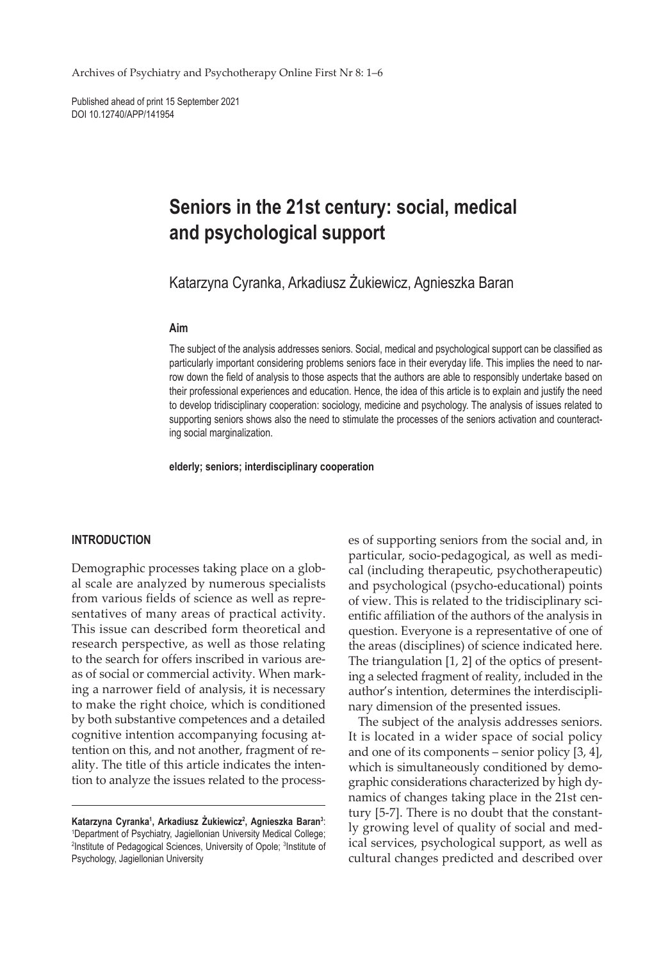Archives of Psychiatry and Psychotherapy Online First Nr 8: 1–6

Published ahead of print 15 September 2021 DOI 10.12740/APP/141954

# **Seniors in the 21st century: social, medical and psychological support**

Katarzyna Cyranka, Arkadiusz Żukiewicz, Agnieszka Baran

#### **Aim**

The subject of the analysis addresses seniors. Social, medical and psychological support can be classified as particularly important considering problems seniors face in their everyday life. This implies the need to narrow down the field of analysis to those aspects that the authors are able to responsibly undertake based on their professional experiences and education. Hence, the idea of this article is to explain and justify the need to develop tridisciplinary cooperation: sociology, medicine and psychology. The analysis of issues related to supporting seniors shows also the need to stimulate the processes of the seniors activation and counteracting social marginalization.

**elderly; seniors; interdisciplinary cooperation**

#### **INTRODUCTION**

Demographic processes taking place on a global scale are analyzed by numerous specialists from various fields of science as well as representatives of many areas of practical activity. This issue can described form theoretical and research perspective, as well as those relating to the search for offers inscribed in various areas of social or commercial activity. When marking a narrower field of analysis, it is necessary to make the right choice, which is conditioned by both substantive competences and a detailed cognitive intention accompanying focusing attention on this, and not another, fragment of reality. The title of this article indicates the intention to analyze the issues related to the process-

es of supporting seniors from the social and, in particular, socio-pedagogical, as well as medical (including therapeutic, psychotherapeutic) and psychological (psycho-educational) points of view. This is related to the tridisciplinary scientific affiliation of the authors of the analysis in question. Everyone is a representative of one of the areas (disciplines) of science indicated here. The triangulation [1, 2] of the optics of presenting a selected fragment of reality, included in the author's intention, determines the interdisciplinary dimension of the presented issues.

The subject of the analysis addresses seniors. It is located in a wider space of social policy and one of its components – senior policy [3, 4], which is simultaneously conditioned by demographic considerations characterized by high dynamics of changes taking place in the 21st century [5-7]. There is no doubt that the constantly growing level of quality of social and medical services, psychological support, as well as cultural changes predicted and described over

Katarzyna Cyranka<sup>1</sup>, Arkadiusz Żukiewicz<sup>2</sup>, Agnieszka Baran<sup>3</sup>: 1 Department of Psychiatry, Jagiellonian University Medical College; <sup>2</sup>Institute of Pedagogical Sciences, University of Opole; <sup>3</sup>Institute of Psychology, Jagiellonian University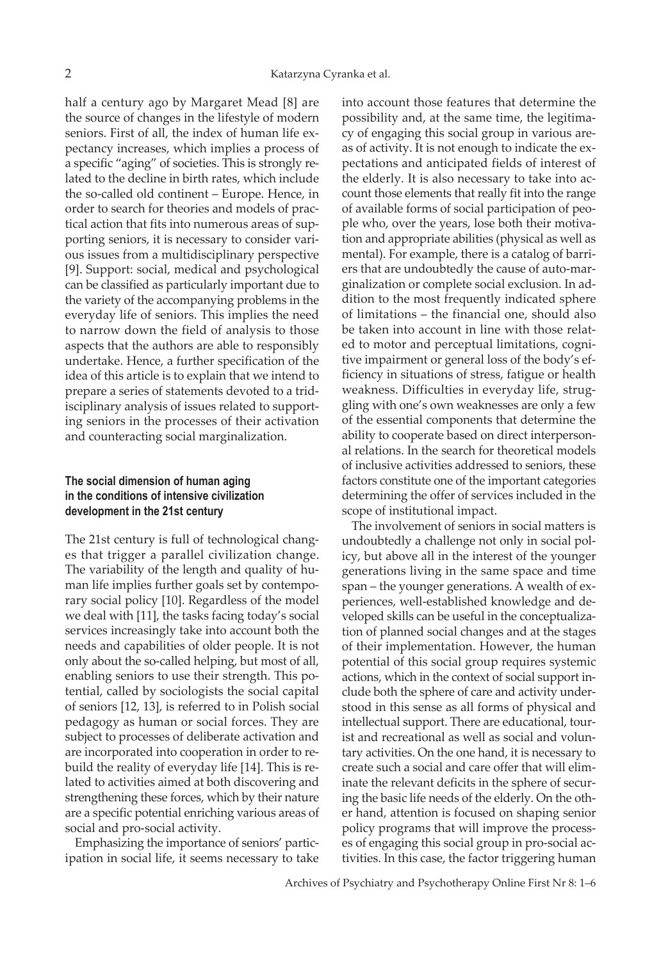half a century ago by Margaret Mead [8] are the source of changes in the lifestyle of modern seniors. First of all, the index of human life expectancy increases, which implies a process of a specific "aging" of societies. This is strongly related to the decline in birth rates, which include the so-called old continent – Europe. Hence, in order to search for theories and models of practical action that fits into numerous areas of supporting seniors, it is necessary to consider various issues from a multidisciplinary perspective [9]. Support: social, medical and psychological can be classified as particularly important due to the variety of the accompanying problems in the everyday life of seniors. This implies the need to narrow down the field of analysis to those aspects that the authors are able to responsibly undertake. Hence, a further specification of the idea of this article is to explain that we intend to prepare a series of statements devoted to a tridisciplinary analysis of issues related to supporting seniors in the processes of their activation and counteracting social marginalization.

## **The social dimension of human aging in the conditions of intensive civilization development in the 21st century**

The 21st century is full of technological changes that trigger a parallel civilization change. The variability of the length and quality of human life implies further goals set by contemporary social policy [10]. Regardless of the model we deal with [11], the tasks facing today's social services increasingly take into account both the needs and capabilities of older people. It is not only about the so-called helping, but most of all, enabling seniors to use their strength. This potential, called by sociologists the social capital of seniors [12, 13], is referred to in Polish social pedagogy as human or social forces. They are subject to processes of deliberate activation and are incorporated into cooperation in order to rebuild the reality of everyday life [14]. This is related to activities aimed at both discovering and strengthening these forces, which by their nature are a specific potential enriching various areas of social and pro-social activity.

Emphasizing the importance of seniors' participation in social life, it seems necessary to take into account those features that determine the possibility and, at the same time, the legitimacy of engaging this social group in various areas of activity. It is not enough to indicate the expectations and anticipated fields of interest of the elderly. It is also necessary to take into account those elements that really fit into the range of available forms of social participation of people who, over the years, lose both their motivation and appropriate abilities (physical as well as mental). For example, there is a catalog of barriers that are undoubtedly the cause of auto-marginalization or complete social exclusion. In addition to the most frequently indicated sphere of limitations – the financial one, should also be taken into account in line with those related to motor and perceptual limitations, cognitive impairment or general loss of the body's efficiency in situations of stress, fatigue or health weakness. Difficulties in everyday life, struggling with one's own weaknesses are only a few of the essential components that determine the ability to cooperate based on direct interpersonal relations. In the search for theoretical models of inclusive activities addressed to seniors, these factors constitute one of the important categories determining the offer of services included in the scope of institutional impact.

The involvement of seniors in social matters is undoubtedly a challenge not only in social policy, but above all in the interest of the younger generations living in the same space and time span – the younger generations. A wealth of experiences, well-established knowledge and developed skills can be useful in the conceptualization of planned social changes and at the stages of their implementation. However, the human potential of this social group requires systemic actions, which in the context of social support include both the sphere of care and activity understood in this sense as all forms of physical and intellectual support. There are educational, tourist and recreational as well as social and voluntary activities. On the one hand, it is necessary to create such a social and care offer that will eliminate the relevant deficits in the sphere of securing the basic life needs of the elderly. On the other hand, attention is focused on shaping senior policy programs that will improve the processes of engaging this social group in pro-social activities. In this case, the factor triggering human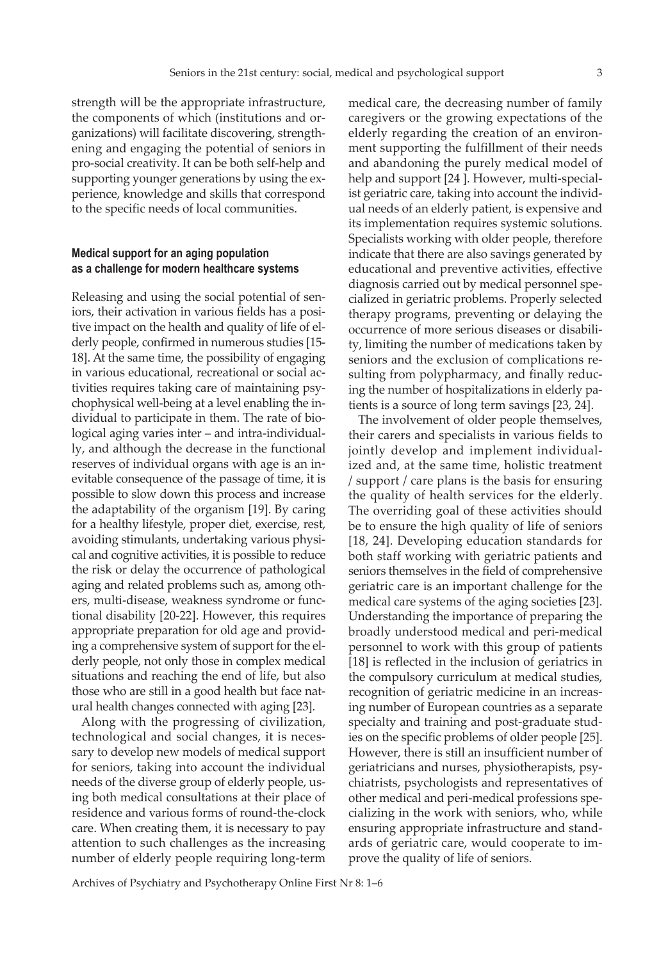strength will be the appropriate infrastructure, the components of which (institutions and organizations) will facilitate discovering, strengthening and engaging the potential of seniors in pro-social creativity. It can be both self-help and supporting younger generations by using the experience, knowledge and skills that correspond to the specific needs of local communities.

### **Medical support for an aging population as a challenge for modern healthcare systems**

Releasing and using the social potential of seniors, their activation in various fields has a positive impact on the health and quality of life of elderly people, confirmed in numerous studies [15- 18]. At the same time, the possibility of engaging in various educational, recreational or social activities requires taking care of maintaining psychophysical well-being at a level enabling the individual to participate in them. The rate of biological aging varies inter – and intra-individually, and although the decrease in the functional reserves of individual organs with age is an inevitable consequence of the passage of time, it is possible to slow down this process and increase the adaptability of the organism [19]. By caring for a healthy lifestyle, proper diet, exercise, rest, avoiding stimulants, undertaking various physical and cognitive activities, it is possible to reduce the risk or delay the occurrence of pathological aging and related problems such as, among others, multi-disease, weakness syndrome or functional disability [20-22]. However, this requires appropriate preparation for old age and providing a comprehensive system of support for the elderly people, not only those in complex medical situations and reaching the end of life, but also those who are still in a good health but face natural health changes connected with aging [23].

Along with the progressing of civilization, technological and social changes, it is necessary to develop new models of medical support for seniors, taking into account the individual needs of the diverse group of elderly people, using both medical consultations at their place of residence and various forms of round-the-clock care. When creating them, it is necessary to pay attention to such challenges as the increasing number of elderly people requiring long-term medical care, the decreasing number of family caregivers or the growing expectations of the elderly regarding the creation of an environment supporting the fulfillment of their needs and abandoning the purely medical model of help and support [24 ]. However, multi-specialist geriatric care, taking into account the individual needs of an elderly patient, is expensive and its implementation requires systemic solutions. Specialists working with older people, therefore indicate that there are also savings generated by educational and preventive activities, effective diagnosis carried out by medical personnel specialized in geriatric problems. Properly selected therapy programs, preventing or delaying the occurrence of more serious diseases or disability, limiting the number of medications taken by seniors and the exclusion of complications resulting from polypharmacy, and finally reducing the number of hospitalizations in elderly patients is a source of long term savings [23, 24].

The involvement of older people themselves, their carers and specialists in various fields to jointly develop and implement individualized and, at the same time, holistic treatment / support / care plans is the basis for ensuring the quality of health services for the elderly. The overriding goal of these activities should be to ensure the high quality of life of seniors [18, 24]. Developing education standards for both staff working with geriatric patients and seniors themselves in the field of comprehensive geriatric care is an important challenge for the medical care systems of the aging societies [23]. Understanding the importance of preparing the broadly understood medical and peri-medical personnel to work with this group of patients [18] is reflected in the inclusion of geriatrics in the compulsory curriculum at medical studies, recognition of geriatric medicine in an increasing number of European countries as a separate specialty and training and post-graduate studies on the specific problems of older people [25]. However, there is still an insufficient number of geriatricians and nurses, physiotherapists, psychiatrists, psychologists and representatives of other medical and peri-medical professions specializing in the work with seniors, who, while ensuring appropriate infrastructure and standards of geriatric care, would cooperate to improve the quality of life of seniors.

Archives of Psychiatry and Psychotherapy Online First Nr 8: 1–6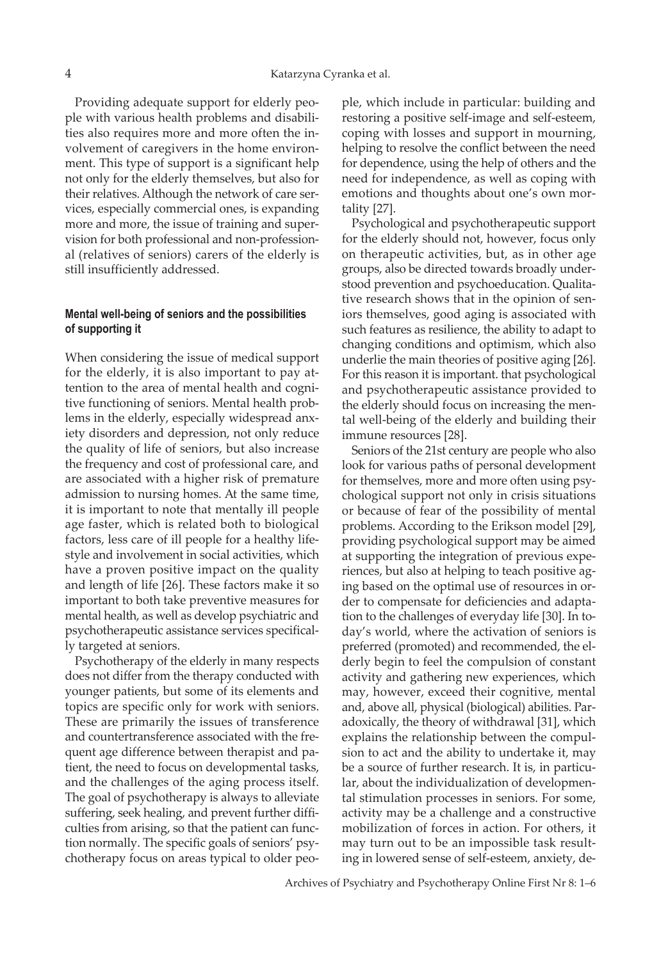Providing adequate support for elderly people with various health problems and disabilities also requires more and more often the involvement of caregivers in the home environment. This type of support is a significant help not only for the elderly themselves, but also for their relatives. Although the network of care services, especially commercial ones, is expanding more and more, the issue of training and supervision for both professional and non-professional (relatives of seniors) carers of the elderly is still insufficiently addressed.

## **Mental well-being of seniors and the possibilities of supporting it**

When considering the issue of medical support for the elderly, it is also important to pay attention to the area of mental health and cognitive functioning of seniors. Mental health problems in the elderly, especially widespread anxiety disorders and depression, not only reduce the quality of life of seniors, but also increase the frequency and cost of professional care, and are associated with a higher risk of premature admission to nursing homes. At the same time, it is important to note that mentally ill people age faster, which is related both to biological factors, less care of ill people for a healthy lifestyle and involvement in social activities, which have a proven positive impact on the quality and length of life [26]. These factors make it so important to both take preventive measures for mental health, as well as develop psychiatric and psychotherapeutic assistance services specifically targeted at seniors.

Psychotherapy of the elderly in many respects does not differ from the therapy conducted with younger patients, but some of its elements and topics are specific only for work with seniors. These are primarily the issues of transference and countertransference associated with the frequent age difference between therapist and patient, the need to focus on developmental tasks, and the challenges of the aging process itself. The goal of psychotherapy is always to alleviate suffering, seek healing, and prevent further difficulties from arising, so that the patient can function normally. The specific goals of seniors' psychotherapy focus on areas typical to older people, which include in particular: building and restoring a positive self-image and self-esteem, coping with losses and support in mourning, helping to resolve the conflict between the need for dependence, using the help of others and the need for independence, as well as coping with emotions and thoughts about one's own mortality [27].

Psychological and psychotherapeutic support for the elderly should not, however, focus only on therapeutic activities, but, as in other age groups, also be directed towards broadly understood prevention and psychoeducation. Qualitative research shows that in the opinion of seniors themselves, good aging is associated with such features as resilience, the ability to adapt to changing conditions and optimism, which also underlie the main theories of positive aging [26]. For this reason it is important. that psychological and psychotherapeutic assistance provided to the elderly should focus on increasing the mental well-being of the elderly and building their immune resources [28].

Seniors of the 21st century are people who also look for various paths of personal development for themselves, more and more often using psychological support not only in crisis situations or because of fear of the possibility of mental problems. According to the Erikson model [29], providing psychological support may be aimed at supporting the integration of previous experiences, but also at helping to teach positive aging based on the optimal use of resources in order to compensate for deficiencies and adaptation to the challenges of everyday life [30]. In today's world, where the activation of seniors is preferred (promoted) and recommended, the elderly begin to feel the compulsion of constant activity and gathering new experiences, which may, however, exceed their cognitive, mental and, above all, physical (biological) abilities. Paradoxically, the theory of withdrawal [31], which explains the relationship between the compulsion to act and the ability to undertake it, may be a source of further research. It is, in particular, about the individualization of developmental stimulation processes in seniors. For some, activity may be a challenge and a constructive mobilization of forces in action. For others, it may turn out to be an impossible task resulting in lowered sense of self-esteem, anxiety, de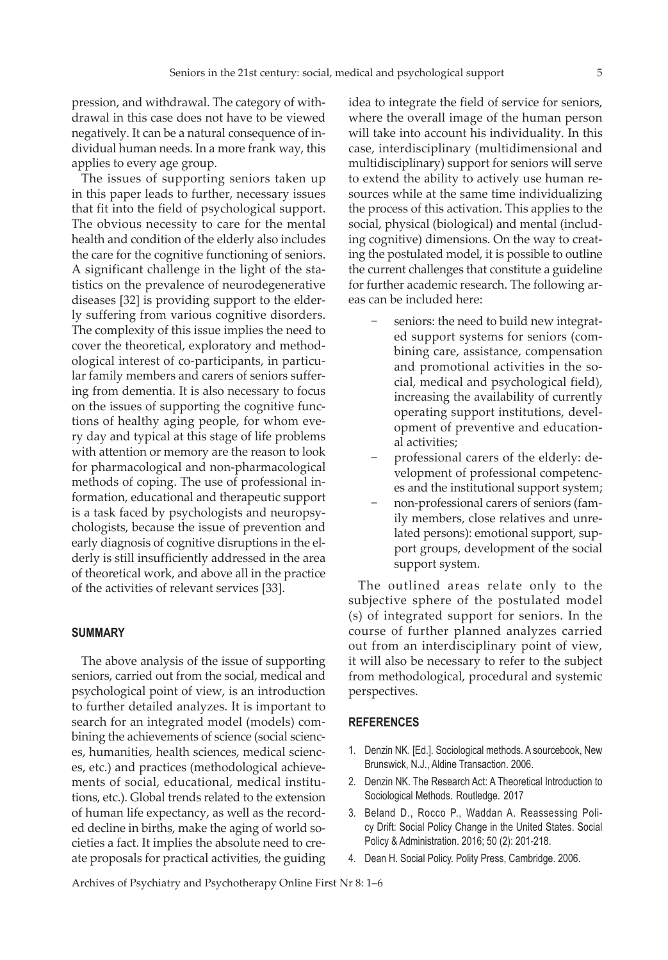pression, and withdrawal. The category of withdrawal in this case does not have to be viewed negatively. It can be a natural consequence of individual human needs. In a more frank way, this applies to every age group.

The issues of supporting seniors taken up in this paper leads to further, necessary issues that fit into the field of psychological support. The obvious necessity to care for the mental health and condition of the elderly also includes the care for the cognitive functioning of seniors. A significant challenge in the light of the statistics on the prevalence of neurodegenerative diseases [32] is providing support to the elderly suffering from various cognitive disorders. The complexity of this issue implies the need to cover the theoretical, exploratory and methodological interest of co-participants, in particular family members and carers of seniors suffering from dementia. It is also necessary to focus on the issues of supporting the cognitive functions of healthy aging people, for whom every day and typical at this stage of life problems with attention or memory are the reason to look for pharmacological and non-pharmacological methods of coping. The use of professional information, educational and therapeutic support is a task faced by psychologists and neuropsychologists, because the issue of prevention and early diagnosis of cognitive disruptions in the elderly is still insufficiently addressed in the area of theoretical work, and above all in the practice of the activities of relevant services [33].

#### **SUMMARY**

The above analysis of the issue of supporting seniors, carried out from the social, medical and psychological point of view, is an introduction to further detailed analyzes. It is important to search for an integrated model (models) combining the achievements of science (social sciences, humanities, health sciences, medical sciences, etc.) and practices (methodological achievements of social, educational, medical institutions, etc.). Global trends related to the extension of human life expectancy, as well as the recorded decline in births, make the aging of world societies a fact. It implies the absolute need to create proposals for practical activities, the guiding idea to integrate the field of service for seniors, where the overall image of the human person will take into account his individuality. In this case, interdisciplinary (multidimensional and multidisciplinary) support for seniors will serve to extend the ability to actively use human resources while at the same time individualizing the process of this activation. This applies to the social, physical (biological) and mental (including cognitive) dimensions. On the way to creating the postulated model, it is possible to outline the current challenges that constitute a guideline for further academic research. The following areas can be included here:

- seniors: the need to build new integrated support systems for seniors (combining care, assistance, compensation and promotional activities in the social, medical and psychological field), increasing the availability of currently operating support institutions, development of preventive and educational activities;
- − professional carers of the elderly: development of professional competences and the institutional support system;
- − non-professional carers of seniors (family members, close relatives and unrelated persons): emotional support, support groups, development of the social support system.

The outlined areas relate only to the subjective sphere of the postulated model (s) of integrated support for seniors. In the course of further planned analyzes carried out from an interdisciplinary point of view, it will also be necessary to refer to the subject from methodological, procedural and systemic perspectives.

#### **REFERENCES**

- 1. Denzin NK. [Ed.]. Sociological methods. A sourcebook, New Brunswick, N.J., Aldine Transaction. 2006.
- 2. Denzin NK. The Research Act: A Theoretical Introduction to Sociological Methods*.* Routledge*.* 2017
- 3. Beland D., Rocco P., Waddan A. Reassessing Policy Drift: Social Policy Change in the United States. Social Policy & Administration. 2016; 50 (2): 201-218.
- 4. Dean H. Social Policy. Polity Press, Cambridge. 2006.

Archives of Psychiatry and Psychotherapy Online First Nr 8: 1–6